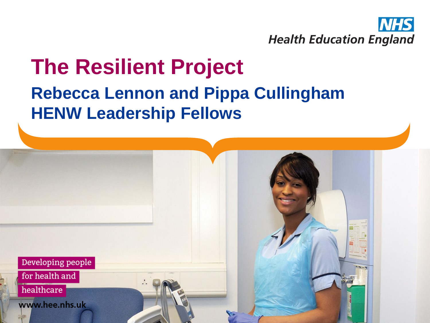

#### **The Resilient Project Rebecca Lennon and Pippa Cullingham HENW Leadership Fellows**



for health and

healthcare

www.hee.nhs.uk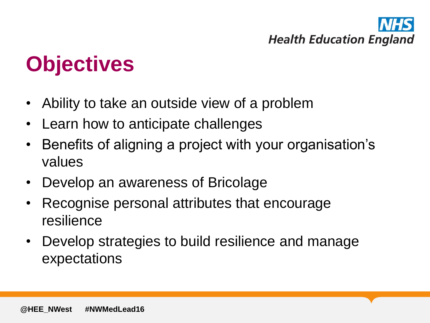

## **Objectives**

- Ability to take an outside view of a problem
- Learn how to anticipate challenges
- Benefits of aligning a project with your organisation's values
- Develop an awareness of Bricolage
- Recognise personal attributes that encourage resilience
- Develop strategies to build resilience and manage expectations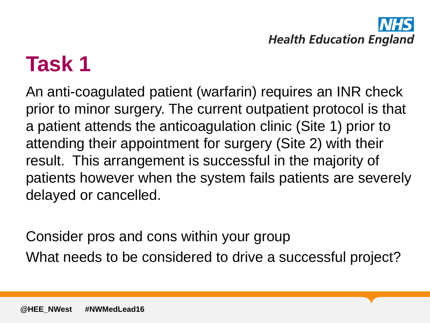

### **Task 1**

An anti-coagulated patient (warfarin) requires an INR check prior to minor surgery. The current outpatient protocol is that a patient attends the anticoagulation clinic (Site 1) prior to attending their appointment for surgery (Site 2) with their result. This arrangement is successful in the majority of patients however when the system fails patients are severely delayed or cancelled.

Consider pros and cons within your group What needs to be considered to drive a successful project?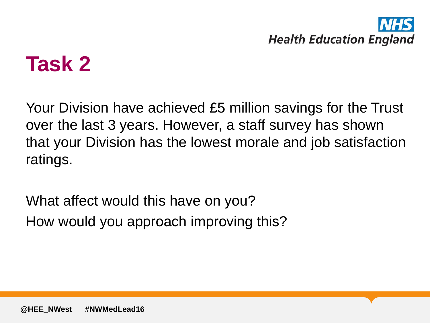

### **Task 2**

Your Division have achieved £5 million savings for the Trust over the last 3 years. However, a staff survey has shown that your Division has the lowest morale and job satisfaction ratings.

What affect would this have on you? How would you approach improving this?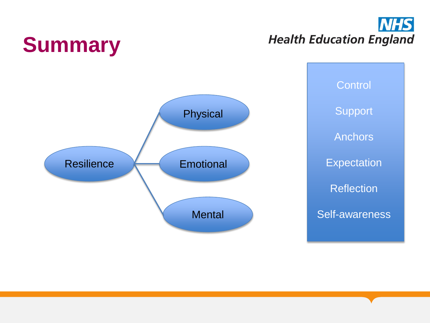